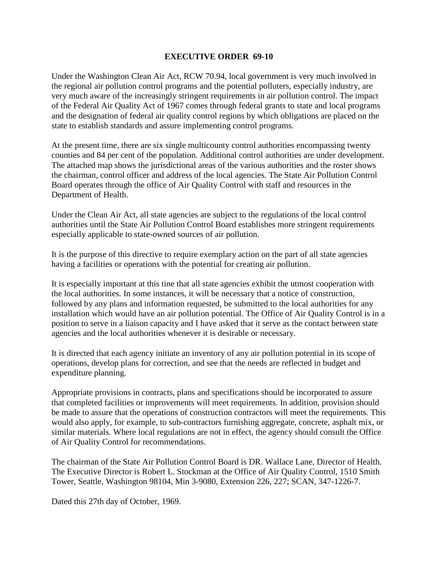## **EXECUTIVE ORDER 69-10**

Under the Washington Clean Air Act, RCW 70.94, local government is very much involved in the regional air pollution control programs and the potential polluters, especially industry, are very much aware of the increasingly stringent requirements in air pollution control. The impact of the Federal Air Quality Act of 1967 comes through federal grants to state and local programs and the designation of federal air quality control regions by which obligations are placed on the state to establish standards and assure implementing control programs.

At the present time, there are six single multicounty control authorities encompassing twenty counties and 84 per cent of the population. Additional control authorities are under development. The attached map shows the jurisdictional areas of the various authorities and the roster shows the chairman, control officer and address of the local agencies. The State Air Pollution Control Board operates through the office of Air Quality Control with staff and resources in the Department of Health.

Under the Clean Air Act, all state agencies are subject to the regulations of the local control authorities until the State Air Pollution Control Board establishes more stringent requirements especially applicable to state-owned sources of air pollution.

It is the purpose of this directive to require exemplary action on the part of all state agencies having a facilities or operations with the potential for creating air pollution.

It is especially important at this tine that all state agencies exhibit the utmost cooperation with the local authorities. In some instances, it will be necessary that a notice of construction, followed by any plans and information requested, be submitted to the local authorities for any installation which would have an air pollution potential. The Office of Air Quality Control is in a position to serve in a liaison capacity and I have asked that it serve as the contact between state agencies and the local authorities whenever it is desirable or necessary.

It is directed that each agency initiate an inventory of any air pollution potential in its scope of operations, develop plans for correction, and see that the needs are reflected in budget and expenditure planning.

Appropriate provisions in contracts, plans and specifications should be incorporated to assure that completed facilities or improvements will meet requirements. In addition, provision should be made to assure that the operations of construction contractors will meet the requirements. This would also apply, for example, to sub-contractors furnishing aggregate, concrete, asphalt mix, or similar materials. Where local regulations are not in effect, the agency should consult the Office of Air Quality Control for recommendations.

The chairman of the State Air Pollution Control Board is DR. Wallace Lane, Director of Health. The Executive Director is Robert L. Stockman at the Office of Air Quality Control, 1510 Smith Tower, Seattle, Washington 98104, Min 3-9080, Extension 226, 227; SCAN, 347-1226-7.

Dated this 27th day of October, 1969.